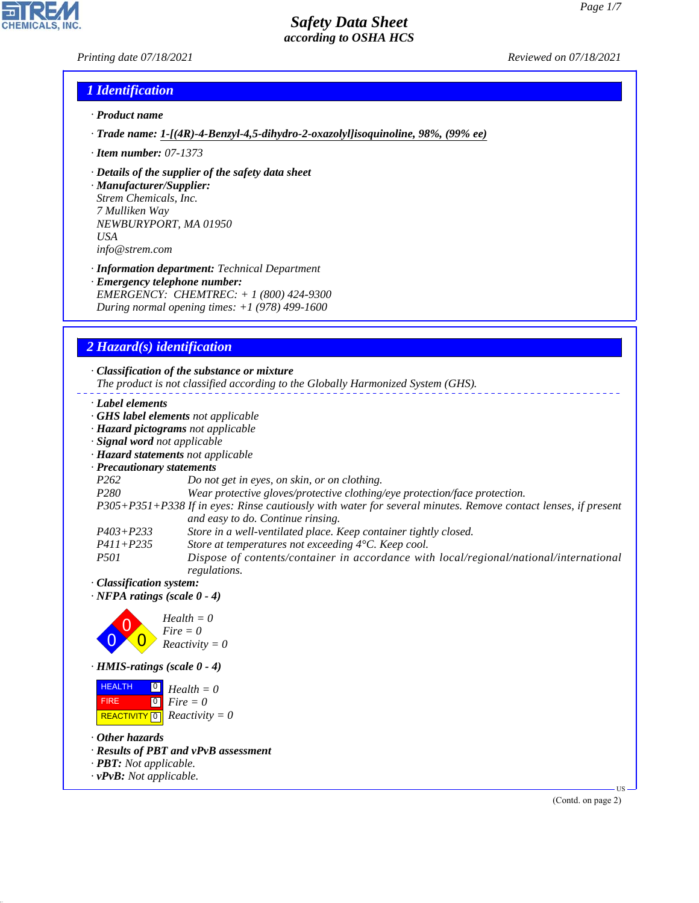### *Printing date 07/18/2021 Reviewed on 07/18/2021*

 $\overline{\phantom{a}}$ 

**CHEMICALS, INC.** 

## *1 Identification*

- *· Product name*
- *· Trade name: 1- [(4R) - 4- Benzyl- 4, 5- dihydro- 2- oxazolyl] isoquinoline, 98%, (99% ee)*
- *· Item number: 07-1373*
- *· Details of the supplier of the safety data sheet*
- *· Manufacturer/Supplier: Strem Chemicals, Inc. 7 Mulliken Way NEWBURYPORT, MA 01950 USA info@strem.com*
- *· Information department: Technical Department · Emergency telephone number: EMERGENCY: CHEMTREC: + 1 (800) 424-9300 During normal opening times: +1 (978) 499-1600*

## *2 Hazard(s) identification*

| · Label elements                      |                                                                                                               |
|---------------------------------------|---------------------------------------------------------------------------------------------------------------|
|                                       | GHS label elements not applicable                                                                             |
|                                       | · Hazard pictograms not applicable                                                                            |
| · Signal word not applicable          |                                                                                                               |
|                                       | · Hazard statements not applicable                                                                            |
| · Precautionary statements            |                                                                                                               |
| P <sub>262</sub>                      | Do not get in eyes, on skin, or on clothing.                                                                  |
| P280                                  | Wear protective gloves/protective clothing/eye protection/face protection.                                    |
|                                       | P305+P351+P338 If in eyes: Rinse cautiously with water for several minutes. Remove contact lenses, if present |
|                                       | and easy to do. Continue rinsing.                                                                             |
| $P403 + P233$                         | Store in a well-ventilated place. Keep container tightly closed.                                              |
| $P411 + P235$                         | Store at temperatures not exceeding 4°C. Keep cool.                                                           |
| <i>P501</i>                           | Dispose of contents/container in accordance with local/regional/national/international<br>regulations.        |
| · Classification system:              |                                                                                                               |
| $\cdot$ NFPA ratings (scale 0 - 4)    |                                                                                                               |
|                                       | $Health = 0$                                                                                                  |
|                                       | $Fire = 0$                                                                                                    |
|                                       | $Reactivity = 0$                                                                                              |
| $\cdot$ HMIS-ratings (scale $0 - 4$ ) |                                                                                                               |
| <b>HEALTH</b><br>$\boxed{0}$          | $Health = 0$                                                                                                  |
| $\boxed{0}$<br><b>FIRE</b>            | $Fire = 0$                                                                                                    |
| <b>REACTIVITY</b> 0                   | $Reactivity = 0$                                                                                              |

*· PBT: Not applicable.*

44.1.1

*· vPvB: Not applicable.*

(Contd. on page 2)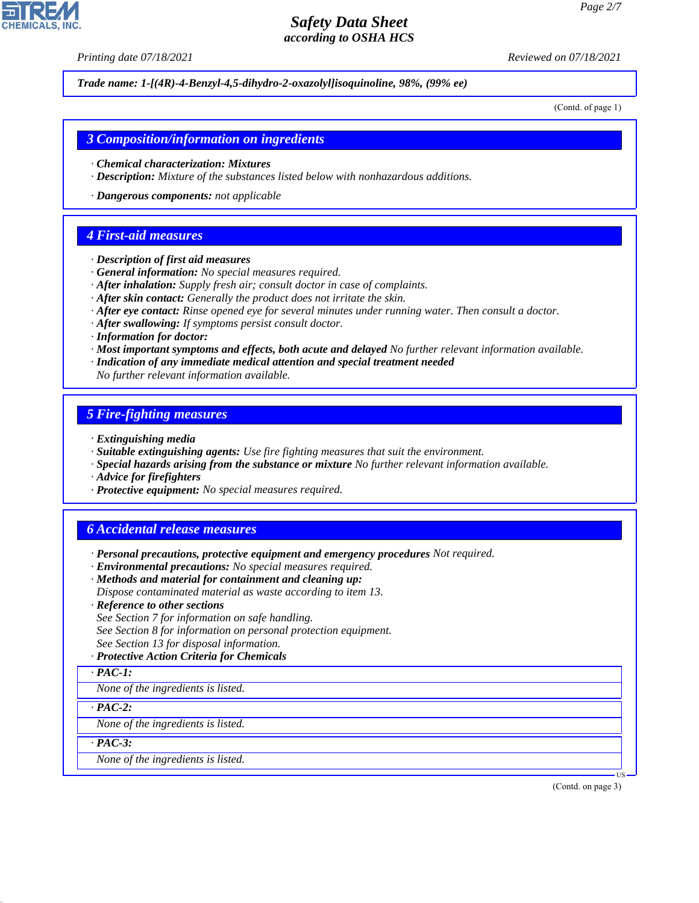*Printing date 07/18/2021 Reviewed on 07/18/2021*

*Trade name: 1- [(4R) - 4- Benzyl- 4, 5- dihydro- 2- oxazolyl] isoquinoline, 98%, (99% ee)*

(Contd. of page 1)

#### *3 Composition/information on ingredients*

- *· Chemical characterization: Mixtures*
- *· Description: Mixture of the substances listed below with nonhazardous additions.*
- *· Dangerous components: not applicable*

### *4 First-aid measures*

- *· Description of first aid measures*
- *· General information: No special measures required.*
- *· After inhalation: Supply fresh air; consult doctor in case of complaints.*
- *· After skin contact: Generally the product does not irritate the skin.*
- *· After eye contact: Rinse opened eye for several minutes under running water. Then consult a doctor.*
- *· After swallowing: If symptoms persist consult doctor.*
- *· Information for doctor:*
- *· Most important symptoms and effects, both acute and delayed No further relevant information available.*
- *· Indication of any immediate medical attention and special treatment needed*
- *No further relevant information available.*

### *5 Fire-fighting measures*

- *· Extinguishing media*
- *· Suitable extinguishing agents: Use fire fighting measures that suit the environment.*
- *· Special hazards arising from the substance or mixture No further relevant information available.*
- *· Advice for firefighters*
- *· Protective equipment: No special measures required.*

## *6 Accidental release measures*

- *· Personal precautions, protective equipment and emergency procedures Not required.*
- *· Environmental precautions: No special measures required.*
- *· Methods and material for containment and cleaning up:*
- *Dispose contaminated material as waste according to item 13.*
- *· Reference to other sections*
- *See Section 7 for information on safe handling.*
- *See Section 8 for information on personal protection equipment.*
- *See Section 13 for disposal information.*

#### *· Protective Action Criteria for Chemicals*

*· PAC-1:*

*None of the ingredients is listed.*

*· PAC-2:*

*None of the ingredients is listed.*

*· PAC-3:*

44.1.1

*None of the ingredients is listed.*

(Contd. on page 3)

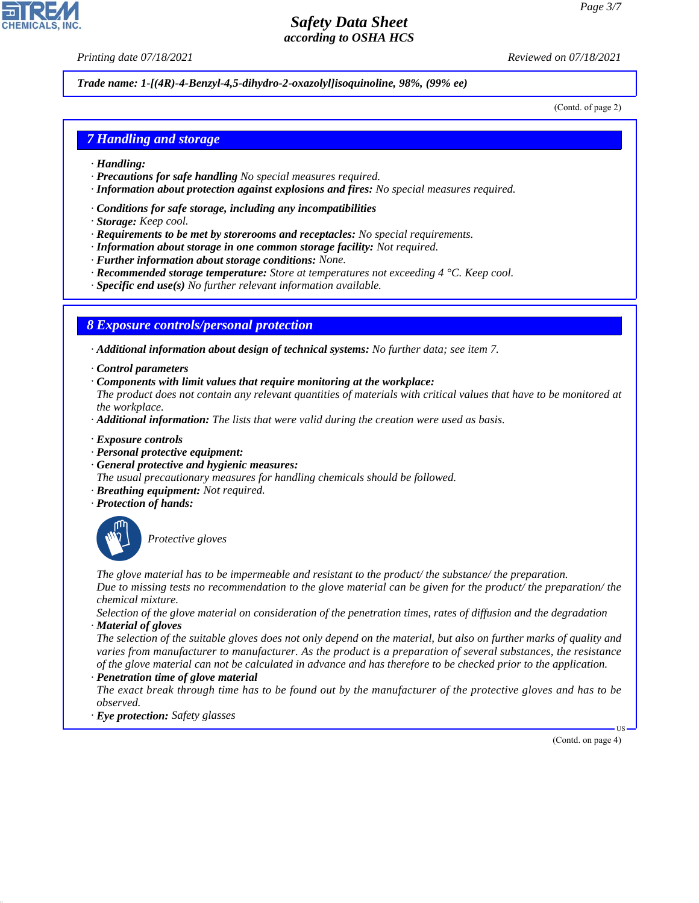*Printing date 07/18/2021 Reviewed on 07/18/2021*

*Trade name: 1- [(4R) - 4- Benzyl- 4, 5- dihydro- 2- oxazolyl] isoquinoline, 98%, (99% ee)*

(Contd. of page 2)

# *7 Handling and storage*

- *· Handling:*
- *· Precautions for safe handling No special measures required.*
- *· Information about protection against explosions and fires: No special measures required.*
- *· Conditions for safe storage, including any incompatibilities*
- *· Storage: Keep cool.*
- *· Requirements to be met by storerooms and receptacles: No special requirements.*
- *· Information about storage in one common storage facility: Not required.*
- *· Further information about storage conditions: None.*
- *· Recommended storage temperature: Store at temperatures not exceeding 4 °C. Keep cool.*
- *· Specific end use(s) No further relevant information available.*

# *8 Exposure controls/personal protection*

*· Additional information about design of technical systems: No further data; see item 7.*

- *· Control parameters*
- *· Components with limit values that require monitoring at the workplace:*

*The product does not contain any relevant quantities of materials with critical values that have to be monitored at the workplace.*

- *· Additional information: The lists that were valid during the creation were used as basis.*
- *· Exposure controls*
- *· Personal protective equipment:*
- *· General protective and hygienic measures:*
- *The usual precautionary measures for handling chemicals should be followed.*
- *· Breathing equipment: Not required.*
- *· Protection of hands:*



44.1.1

\_S*Protective gloves*

*The glove material has to be impermeable and resistant to the product/ the substance/ the preparation. Due to missing tests no recommendation to the glove material can be given for the product/ the preparation/ the chemical mixture.*

*Selection of the glove material on consideration of the penetration times, rates of diffusion and the degradation · Material of gloves*

*The selection of the suitable gloves does not only depend on the material, but also on further marks of quality and varies from manufacturer to manufacturer. As the product is a preparation of several substances, the resistance of the glove material can not be calculated in advance and has therefore to be checked prior to the application. · Penetration time of glove material*

*The exact break through time has to be found out by the manufacturer of the protective gloves and has to be observed.*

*· Eye protection: Safety glasses*

(Contd. on page 4)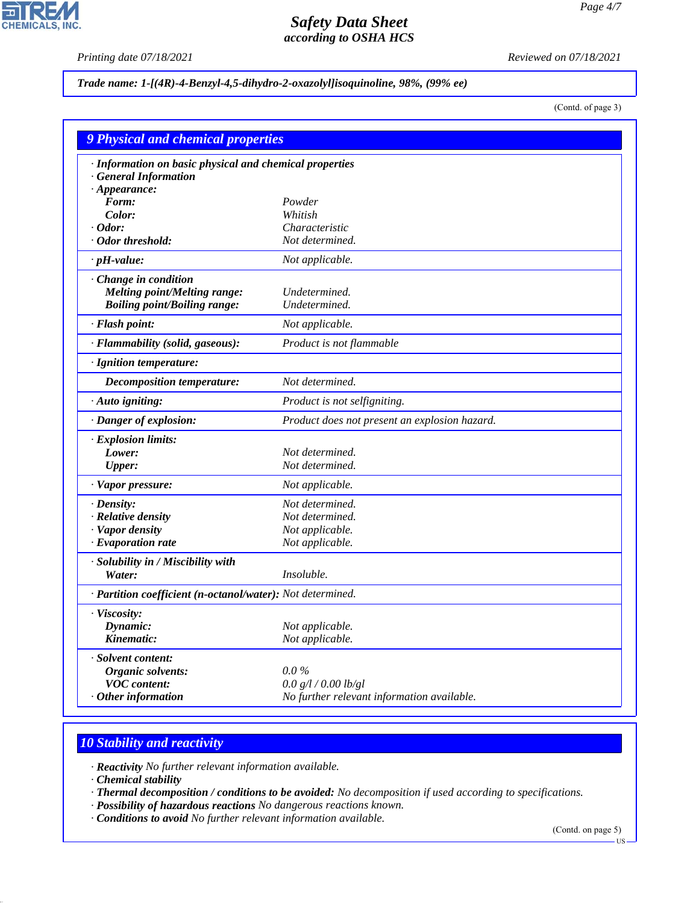P

**CHEMICALS, INC.** 

*Printing date 07/18/2021 Reviewed on 07/18/2021*

### *Trade name: 1- [(4R) - 4- Benzyl- 4, 5- dihydro- 2- oxazolyl] isoquinoline, 98%, (99% ee)*

(Contd. of page 3)

| <b>9 Physical and chemical properties</b>                  |                                               |  |  |  |
|------------------------------------------------------------|-----------------------------------------------|--|--|--|
| · Information on basic physical and chemical properties    |                                               |  |  |  |
| <b>General Information</b>                                 |                                               |  |  |  |
| $\cdot$ Appearance:                                        |                                               |  |  |  |
| Form:                                                      | Powder                                        |  |  |  |
| Color:                                                     | Whitish                                       |  |  |  |
| $\cdot$ Odor:                                              | Characteristic                                |  |  |  |
| · Odor threshold:                                          | Not determined.                               |  |  |  |
| $\cdot$ pH-value:                                          | Not applicable.                               |  |  |  |
| · Change in condition                                      |                                               |  |  |  |
| <b>Melting point/Melting range:</b>                        | Undetermined.                                 |  |  |  |
| <b>Boiling point/Boiling range:</b>                        | Undetermined.                                 |  |  |  |
| · Flash point:                                             | Not applicable.                               |  |  |  |
| · Flammability (solid, gaseous):                           | Product is not flammable                      |  |  |  |
| · Ignition temperature:                                    |                                               |  |  |  |
| Decomposition temperature:                                 | Not determined.                               |  |  |  |
| · Auto igniting:                                           | Product is not selfigniting.                  |  |  |  |
| · Danger of explosion:                                     | Product does not present an explosion hazard. |  |  |  |
| · Explosion limits:                                        |                                               |  |  |  |
| Lower:                                                     | Not determined.                               |  |  |  |
| <b>Upper:</b>                                              | Not determined.                               |  |  |  |
| · Vapor pressure:                                          | Not applicable.                               |  |  |  |
| $\cdot$ Density:                                           | Not determined.                               |  |  |  |
| · Relative density                                         | Not determined.                               |  |  |  |
| · Vapor density                                            | Not applicable.                               |  |  |  |
| $\cdot$ Evaporation rate                                   | Not applicable.                               |  |  |  |
| · Solubility in / Miscibility with                         |                                               |  |  |  |
| Water:                                                     | Insoluble.                                    |  |  |  |
| · Partition coefficient (n-octanol/water): Not determined. |                                               |  |  |  |
| · Viscosity:                                               |                                               |  |  |  |
| Dynamic:                                                   | Not applicable.                               |  |  |  |
| Kinematic:                                                 | Not applicable.                               |  |  |  |
| · Solvent content:                                         |                                               |  |  |  |
| Organic solvents:                                          | $0.0\%$                                       |  |  |  |
| <b>VOC</b> content:                                        | 0.0 g/l / 0.00 lb/gl                          |  |  |  |
| $·$ Other information                                      | No further relevant information available.    |  |  |  |

# *10 Stability and reactivity*

*· Reactivity No further relevant information available.*

*· Chemical stability*

44.1.1

*· Thermal decomposition / conditions to be avoided: No decomposition if used according to specifications.*

- *· Possibility of hazardous reactions No dangerous reactions known.*
- *· Conditions to avoid No further relevant information available.*

(Contd. on page 5)

US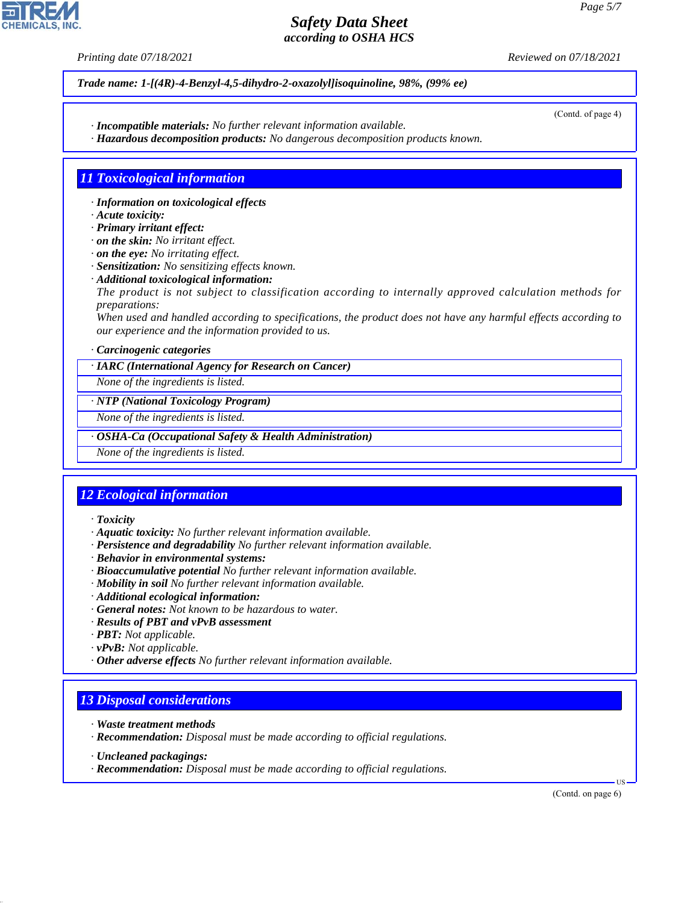*Printing date 07/18/2021 Reviewed on 07/18/2021*

*Trade name: 1- [(4R) - 4- Benzyl- 4, 5- dihydro- 2- oxazolyl] isoquinoline, 98%, (99% ee)*

- *· Incompatible materials: No further relevant information available.*
- *· Hazardous decomposition products: No dangerous decomposition products known.*

## *11 Toxicological information*

- *· Information on toxicological effects*
- *· Acute toxicity:*
- *· Primary irritant effect:*
- *· on the skin: No irritant effect.*
- *· on the eye: No irritating effect.*
- *· Sensitization: No sensitizing effects known.*
- *· Additional toxicological information:*
- *The product is not subject to classification according to internally approved calculation methods for preparations:*

*When used and handled according to specifications, the product does not have any harmful effects according to our experience and the information provided to us.*

#### *· Carcinogenic categories*

*· IARC (International Agency for Research on Cancer)*

*None of the ingredients is listed.*

#### *· NTP (National Toxicology Program)*

*None of the ingredients is listed.*

#### *· OSHA-Ca (Occupational Safety & Health Administration)*

*None of the ingredients is listed.*

## *12 Ecological information*

### *· Toxicity*

- *· Aquatic toxicity: No further relevant information available.*
- *· Persistence and degradability No further relevant information available.*
- *· Behavior in environmental systems:*
- *· Bioaccumulative potential No further relevant information available.*
- *· Mobility in soil No further relevant information available.*
- *· Additional ecological information:*
- *· General notes: Not known to be hazardous to water.*
- *· Results of PBT and vPvB assessment*
- *· PBT: Not applicable.*
- *· vPvB: Not applicable.*
- *· Other adverse effects No further relevant information available.*

## *13 Disposal considerations*

- *· Waste treatment methods*
- *· Recommendation: Disposal must be made according to official regulations.*
- *· Uncleaned packagings:*

44.1.1

*· Recommendation: Disposal must be made according to official regulations.*

(Contd. on page 6)

US



(Contd. of page 4)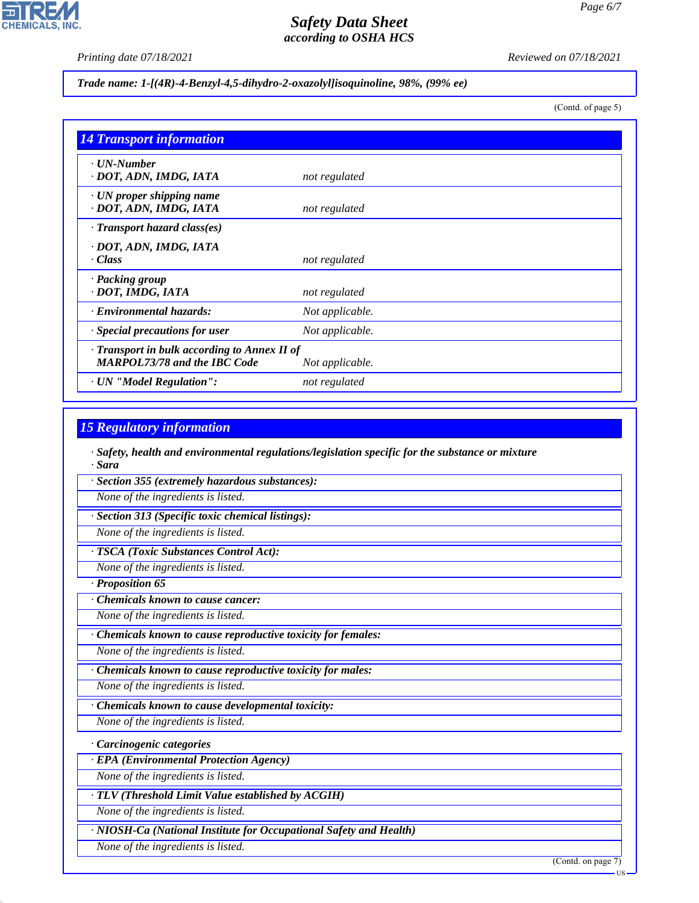*Printing date 07/18/2021 Reviewed on 07/18/2021*

### *Trade name: 1- [(4R) - 4- Benzyl- 4, 5- dihydro- 2- oxazolyl] isoquinoline, 98%, (99% ee)*

(Contd. of page 5)

| <b>14 Transport information</b>                                                           |                 |  |  |
|-------------------------------------------------------------------------------------------|-----------------|--|--|
| $\cdot$ UN-Number<br>· DOT, ADN, IMDG, IATA                                               | not regulated   |  |  |
| $\cdot$ UN proper shipping name<br>· DOT, ADN, IMDG, IATA                                 | not regulated   |  |  |
| $\cdot$ Transport hazard class(es)                                                        |                 |  |  |
| · DOT, ADN, IMDG, IATA<br>$\cdot$ Class                                                   | not regulated   |  |  |
| · Packing group<br>· DOT, IMDG, IATA                                                      | not regulated   |  |  |
| · Environmental hazards:                                                                  | Not applicable. |  |  |
| Special precautions for user                                                              | Not applicable. |  |  |
| $\cdot$ Transport in bulk according to Annex II of<br><b>MARPOL73/78 and the IBC Code</b> | Not applicable. |  |  |
| · UN "Model Regulation":                                                                  | not regulated   |  |  |

## *15 Regulatory information*

*· Safety, health and environmental regulations/legislation specific for the substance or mixture · Sara*

*· Section 355 (extremely hazardous substances):*

*None of the ingredients is listed.*

*· Section 313 (Specific toxic chemical listings):*

*None of the ingredients is listed.*

*· TSCA (Toxic Substances Control Act):*

*None of the ingredients is listed.*

*· Proposition 65*

*· Chemicals known to cause cancer:*

*None of the ingredients is listed.*

*· Chemicals known to cause reproductive toxicity for females:*

*None of the ingredients is listed.*

*· Chemicals known to cause reproductive toxicity for males:*

*None of the ingredients is listed.*

*· Chemicals known to cause developmental toxicity:*

*None of the ingredients is listed.*

*· Carcinogenic categories*

*· EPA (Environmental Protection Agency)*

*None of the ingredients is listed.*

*· TLV (Threshold Limit Value established by ACGIH)*

*None of the ingredients is listed.*

*· NIOSH-Ca (National Institute for Occupational Safety and Health)*

*None of the ingredients is listed.*

44.1.1

(Contd. on page 7)